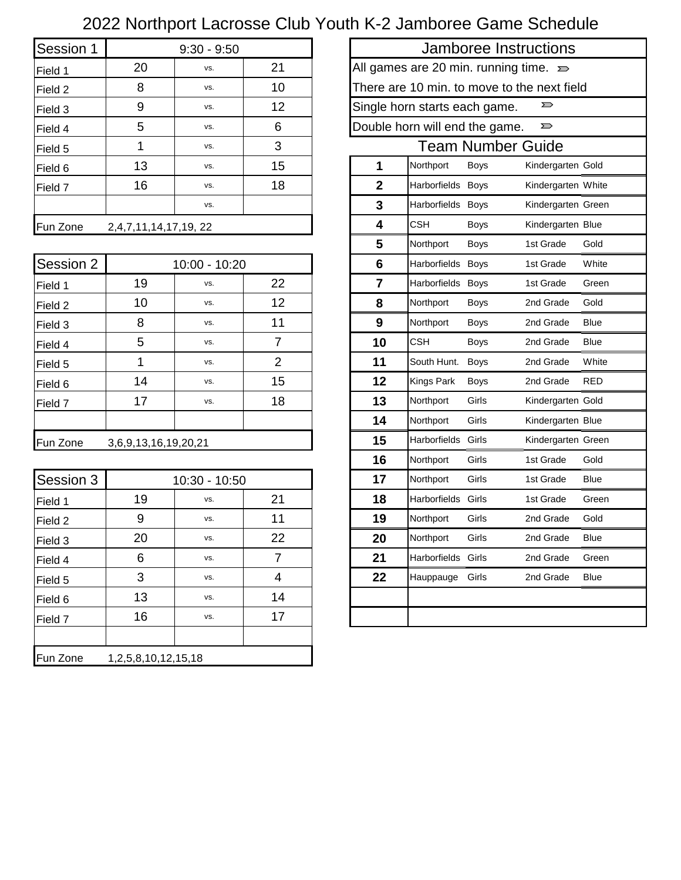## 2022 Northport Lacrosse Club Youth K-2 Jamboree Game Schedule

| Session 1 |                             | $9:30 - 9:50$ |    |                                                   |                                |             | Jamboree Instructions    |
|-----------|-----------------------------|---------------|----|---------------------------------------------------|--------------------------------|-------------|--------------------------|
| Field 1   | 20                          | VS.           | 21 | All games are 20 min. running time. $\Rightarrow$ |                                |             |                          |
| Field 2   | 8                           | VS.           | 10 | There are 10 min. to move to the next field       |                                |             |                          |
| Field 3   | 9                           | VS.           | 12 |                                                   | Single horn starts each game.  |             | $\sum$                   |
| Field 4   | 5                           | VS.           | 6  |                                                   | Double horn will end the game. |             | $\sum$                   |
| Field 5   |                             | VS.           | 3  |                                                   |                                |             | <b>Team Number Guide</b> |
| Field 6   | 13                          | VS.           | 15 |                                                   | Northport                      | <b>Boys</b> | Kindergarten Gold        |
| Field 7   | 16                          | VS.           | 18 | 2                                                 | Harborfields Boys              |             | Kindergarten White       |
|           |                             | VS.           |    | 3                                                 | Harborfields Boys              |             | Kindergarten Greer       |
| Fun Zone  | 2, 4, 7, 11, 14, 17, 19, 22 |               |    |                                                   | <b>CSH</b>                     | <b>Boys</b> | Kindergarten Blue        |
|           |                             |               |    |                                                   |                                |             |                          |

| Session 2 |                      | 10:00 - 10:20 |    | 6  | Harborfields Boys         |             | 1st Grade          | White       |
|-----------|----------------------|---------------|----|----|---------------------------|-------------|--------------------|-------------|
| Field 1   | 19                   | VS.           | 22 | 7  | Harborfields Boys         |             | 1st Grade          | Green       |
| Field 2   | 10                   | VS.           | 12 | 8  | Northport                 | <b>Boys</b> | 2nd Grade          | Gold        |
| Field 3   | 8                    | VS.           | 11 | 9  | Northport                 | <b>Boys</b> | 2nd Grade          | <b>Blue</b> |
| Field 4   | 5                    | VS.           | 7  | 10 | <b>CSH</b>                | <b>Boys</b> | 2nd Grade          | <b>Blue</b> |
| Field 5   |                      | VS.           | 2  | 11 | South Hunt.               | Boys        | 2nd Grade          | White       |
| Field 6   | 14                   | VS.           | 15 | 12 | <b>Kings Park</b>         | Boys        | 2nd Grade          | <b>RED</b>  |
| Field 7   | 17                   | VS.           | 18 | 13 | Northport                 | Girls       | Kindergarten Gold  |             |
|           |                      |               |    | 14 | Northport                 | Girls       | Kindergarten Blue  |             |
| Fun Zone  | 3,6,9,13,16,19,20,21 |               |    | 15 | <b>Harborfields Girls</b> |             | Kindergarten Green |             |
|           |                      |               |    |    |                           |             |                    |             |

| Session 3 |                     | 10:30 - 10:50 |    | 17 | Northport          | Girls | 1st Grade | Blue        |
|-----------|---------------------|---------------|----|----|--------------------|-------|-----------|-------------|
| Field 1   | 19                  | VS.           | 21 | 18 | Harborfields       | Girls | 1st Grade | Green       |
| Field 2   | 9                   | VS.           | 11 | 19 | Northport          | Girls | 2nd Grade | Gold        |
| Field 3   | 20                  | VS.           | 22 | 20 | Northport          | Girls | 2nd Grade | <b>Blue</b> |
| Field 4   | 6                   | VS.           | 7  | 21 | Harborfields Girls |       | 2nd Grade | Green       |
| Field 5   | 3                   | VS.           | 4  | 22 | Hauppauge          | Girls | 2nd Grade | Blue        |
| Field 6   | 13                  | VS.           | 14 |    |                    |       |           |             |
| Field 7   | 16                  | VS.           | 17 |    |                    |       |           |             |
|           |                     |               |    |    |                    |       |           |             |
| Fun Zone  | 1,2,5,8,10,12,15,18 |               |    |    |                    |       |           |             |

| 9:30 - 9:50  |                |              |                               | Jamboree Instructions                             |                    |             |
|--------------|----------------|--------------|-------------------------------|---------------------------------------------------|--------------------|-------------|
| VS.          | 21             |              |                               | All games are 20 min. running time. $\Rightarrow$ |                    |             |
| VS.          | 10             |              |                               | There are 10 min. to move to the next field       |                    |             |
| VS.          | 12             |              | Single horn starts each game. |                                                   | ➢                  |             |
| VS.          | 6              |              |                               | Double horn will end the game.                    | $\sum$             |             |
| VS.          | 3              |              |                               | Team Number Guide                                 |                    |             |
| VS.          | 15             | 1            | Northport                     | <b>Boys</b>                                       | Kindergarten Gold  |             |
| VS.          | 18             | $\mathbf{2}$ | Harborfields Boys             |                                                   | Kindergarten White |             |
| VS.          |                | 3            | Harborfields Boys             |                                                   | Kindergarten Green |             |
| ,19, 22      |                | 4            | <b>CSH</b>                    | <b>Boys</b>                                       | Kindergarten Blue  |             |
|              |                | 5            | Northport                     | <b>Boys</b>                                       | 1st Grade          | Gold        |
| 0:00 - 10:20 |                | 6            | Harborfields Boys             |                                                   | 1st Grade          | White       |
| VS.          | 22             | 7            | Harborfields Boys             |                                                   | 1st Grade          | Green       |
| VS.          | 12             | 8            | Northport                     | <b>Boys</b>                                       | 2nd Grade          | Gold        |
| VS.          | 11             | 9            | Northport                     | <b>Boys</b>                                       | 2nd Grade          | <b>Blue</b> |
| VS.          | $\overline{7}$ | 10           | <b>CSH</b>                    | <b>Boys</b>                                       | 2nd Grade          | <b>Blue</b> |
| VS.          | $\overline{2}$ | 11           | South Hunt.                   | <b>Boys</b>                                       | 2nd Grade          | White       |
| VS.          | 15             | 12           | Kings Park                    | Boys                                              | 2nd Grade          | RED         |
| VS.          | 18             | 13           | Northport                     | Girls                                             | Kindergarten Gold  |             |
|              |                | 14           | Northport                     | Girls                                             | Kindergarten Blue  |             |
| ,20,21       |                | 15           | Harborfields Girls            |                                                   | Kindergarten Green |             |
|              |                | 16           | Northport                     | Girls                                             | 1st Grade          | Gold        |
| 0:30 - 10:50 |                | 17           | Northport                     | Girls                                             | 1st Grade          | Blue        |
| VS.          | 21             | 18           | Harborfields Girls            |                                                   | 1st Grade          | Green       |
| VS.          | 11             | 19           | Northport                     | Girls                                             | 2nd Grade          | Gold        |
| VS.          | 22             | 20           | Northport                     | Girls                                             | 2nd Grade          | Blue        |
| VS.          | $\overline{7}$ | 21           | Harborfields Girls            |                                                   | 2nd Grade          | Green       |
| VS.          | 4              | 22           | Hauppauge Girls               |                                                   | 2nd Grade          | Blue        |
| VS.          | 14             |              |                               |                                                   |                    |             |
| VS.          | 17             |              |                               |                                                   |                    |             |
|              |                |              |                               |                                                   |                    |             |